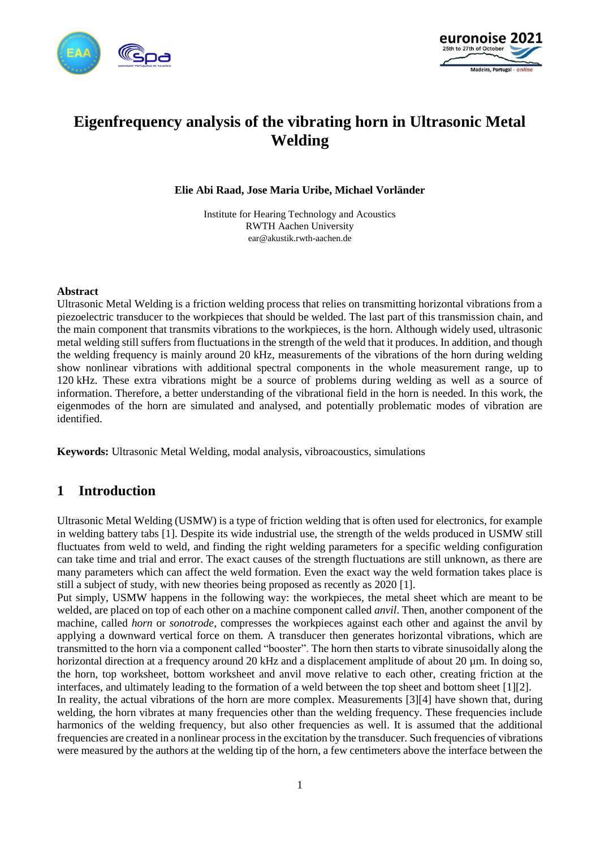



# **Eigenfrequency analysis of the vibrating horn in Ultrasonic Metal Welding**

**Elie Abi Raad, Jose Maria Uribe, Michael Vorländer**

Institute for Hearing Technology and Acoustics RWTH Aachen University ear@akustik.rwth-aachen.de

#### **Abstract**

Ultrasonic Metal Welding is a friction welding process that relies on transmitting horizontal vibrations from a piezoelectric transducer to the workpieces that should be welded. The last part of this transmission chain, and the main component that transmits vibrations to the workpieces, is the horn. Although widely used, ultrasonic metal welding still suffers from fluctuations in the strength of the weld that it produces. In addition, and though the welding frequency is mainly around 20 kHz, measurements of the vibrations of the horn during welding show nonlinear vibrations with additional spectral components in the whole measurement range, up to 120 kHz. These extra vibrations might be a source of problems during welding as well as a source of information. Therefore, a better understanding of the vibrational field in the horn is needed. In this work, the eigenmodes of the horn are simulated and analysed, and potentially problematic modes of vibration are identified.

**Keywords:** Ultrasonic Metal Welding, modal analysis, vibroacoustics, simulations

# **1 Introduction**

Ultrasonic Metal Welding (USMW) is a type of friction welding that is often used for electronics, for example in welding battery tabs [\[1\].](#page-9-0) Despite its wide industrial use, the strength of the welds produced in USMW still fluctuates from weld to weld, and finding the right welding parameters for a specific welding configuration can take time and trial and error. The exact causes of the strength fluctuations are still unknown, as there are many parameters which can affect the weld formation. Even the exact way the weld formation takes place is still a subject of study, with new theories being proposed as recently as 2020 [\[1\].](#page-9-0)

Put simply, USMW happens in the following way: the workpieces, the metal sheet which are meant to be welded, are placed on top of each other on a machine component called *anvil*. Then, another component of the machine, called *horn* or *sonotrode*, compresses the workpieces against each other and against the anvil by applying a downward vertical force on them. A transducer then generates horizontal vibrations, which are transmitted to the horn via a component called "booster". The horn then starts to vibrate sinusoidally along the horizontal direction at a frequency around 20 kHz and a displacement amplitude of about 20 µm. In doing so, the horn, top worksheet, bottom worksheet and anvil move relative to each other, creating friction at the interfaces, and ultimately leading to the formation of a weld between the top sheet and bottom sheet [\[1\]](#page-9-0)[\[2\].](#page-9-1)

In reality, the actual vibrations of the horn are more complex. Measurements [\[3\]](#page-9-2)[\[4\]](#page-9-3) have shown that, during welding, the horn vibrates at many frequencies other than the welding frequency. These frequencies include harmonics of the welding frequency, but also other frequencies as well. It is assumed that the additional frequencies are created in a nonlinear process in the excitation by the transducer. Such frequencies of vibrations were measured by the authors at the welding tip of the horn, a few centimeters above the interface between the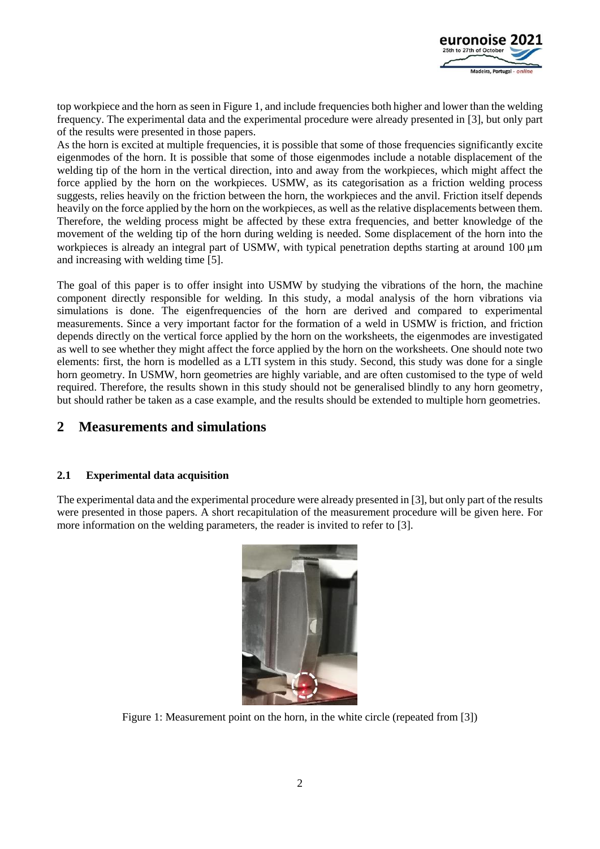

top workpiece and the horn as seen i[n Figure 1,](#page-1-0) and include frequencies both higher and lower than the welding frequency. The experimental data and the experimental procedure were already presented in [\[3\],](#page-9-2) but only part of the results were presented in those papers.

As the horn is excited at multiple frequencies, it is possible that some of those frequencies significantly excite eigenmodes of the horn. It is possible that some of those eigenmodes include a notable displacement of the welding tip of the horn in the vertical direction, into and away from the workpieces, which might affect the force applied by the horn on the workpieces. USMW, as its categorisation as a friction welding process suggests, relies heavily on the friction between the horn, the workpieces and the anvil. Friction itself depends heavily on the force applied by the horn on the workpieces, as well as the relative displacements between them. Therefore, the welding process might be affected by these extra frequencies, and better knowledge of the movement of the welding tip of the horn during welding is needed. Some displacement of the horn into the workpieces is already an integral part of USMW, with typical penetration depths starting at around 100 μm and increasing with welding time [\[5\].](#page-9-4)

The goal of this paper is to offer insight into USMW by studying the vibrations of the horn, the machine component directly responsible for welding. In this study, a modal analysis of the horn vibrations via simulations is done. The eigenfrequencies of the horn are derived and compared to experimental measurements. Since a very important factor for the formation of a weld in USMW is friction, and friction depends directly on the vertical force applied by the horn on the worksheets, the eigenmodes are investigated as well to see whether they might affect the force applied by the horn on the worksheets. One should note two elements: first, the horn is modelled as a LTI system in this study. Second, this study was done for a single horn geometry. In USMW, horn geometries are highly variable, and are often customised to the type of weld required. Therefore, the results shown in this study should not be generalised blindly to any horn geometry, but should rather be taken as a case example, and the results should be extended to multiple horn geometries.

# **2 Measurements and simulations**

### **2.1 Experimental data acquisition**

The experimental data and the experimental procedure were already presented i[n \[3\],](#page-9-2) but only part of the results were presented in those papers. A short recapitulation of the measurement procedure will be given here. For more information on the welding parameters, the reader is invited to refer to [\[3\].](#page-9-2)

<span id="page-1-0"></span>

Figure 1: Measurement point on the horn, in the white circle (repeated from [\[3\]\)](#page-9-2)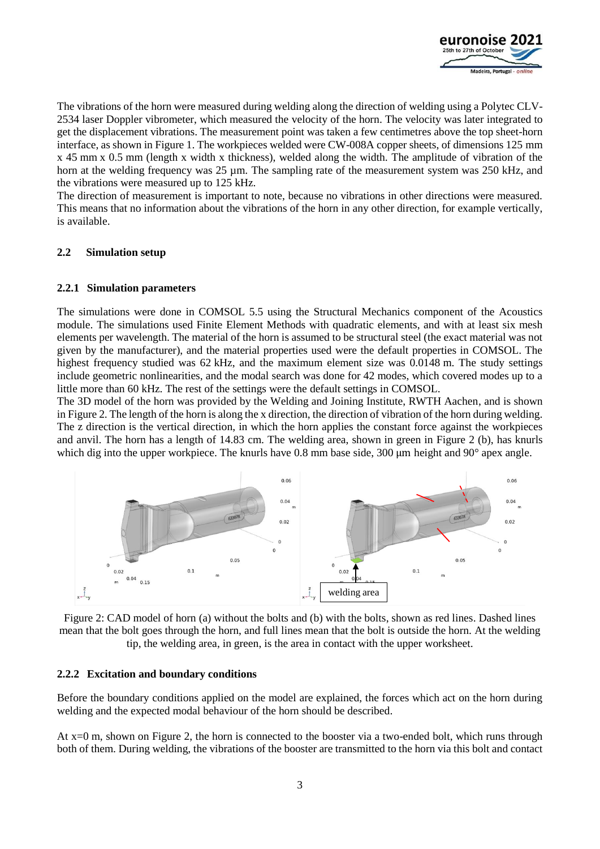

The vibrations of the horn were measured during welding along the direction of welding using a Polytec CLV-2534 laser Doppler vibrometer, which measured the velocity of the horn. The velocity was later integrated to get the displacement vibrations. The measurement point was taken a few centimetres above the top sheet-horn interface, as shown in [Figure 1.](#page-1-0) The workpieces welded were CW-008A copper sheets, of dimensions 125 mm x 45 mm x 0.5 mm (length x width x thickness), welded along the width. The amplitude of vibration of the horn at the welding frequency was 25 µm. The sampling rate of the measurement system was 250 kHz, and the vibrations were measured up to 125 kHz.

The direction of measurement is important to note, because no vibrations in other directions were measured. This means that no information about the vibrations of the horn in any other direction, for example vertically, is available.

### **2.2 Simulation setup**

### **2.2.1 Simulation parameters**

The simulations were done in COMSOL 5.5 using the Structural Mechanics component of the Acoustics module. The simulations used Finite Element Methods with quadratic elements, and with at least six mesh elements per wavelength. The material of the horn is assumed to be structural steel (the exact material was not given by the manufacturer), and the material properties used were the default properties in COMSOL. The highest frequency studied was 62 kHz, and the maximum element size was 0.0148 m. The study settings include geometric nonlinearities, and the modal search was done for 42 modes, which covered modes up to a little more than 60 kHz. The rest of the settings were the default settings in COMSOL.

The 3D model of the horn was provided by the Welding and Joining Institute, RWTH Aachen, and is shown i[n Figure 2.](#page-2-0) The length of the horn is along the x direction, the direction of vibration of the horn during welding. The z direction is the vertical direction, in which the horn applies the constant force against the workpieces and anvil. The horn has a length of 14.83 cm. The welding area, shown in green in [Figure 2](#page-2-0) (b), has knurls which dig into the upper workpiece. The knurls have 0.8 mm base side, 300 μm height and 90° apex angle.



<span id="page-2-0"></span>Figure 2: CAD model of horn (a) without the bolts and (b) with the bolts, shown as red lines. Dashed lines mean that the bolt goes through the horn, and full lines mean that the bolt is outside the horn. At the welding tip, the welding area, in green, is the area in contact with the upper worksheet.

### <span id="page-2-1"></span>**2.2.2 Excitation and boundary conditions**

Before the boundary conditions applied on the model are explained, the forces which act on the horn during welding and the expected modal behaviour of the horn should be described.

At x=0 m, shown on [Figure 2,](#page-2-0) the horn is connected to the booster via a two-ended bolt, which runs through both of them. During welding, the vibrations of the booster are transmitted to the horn via this bolt and contact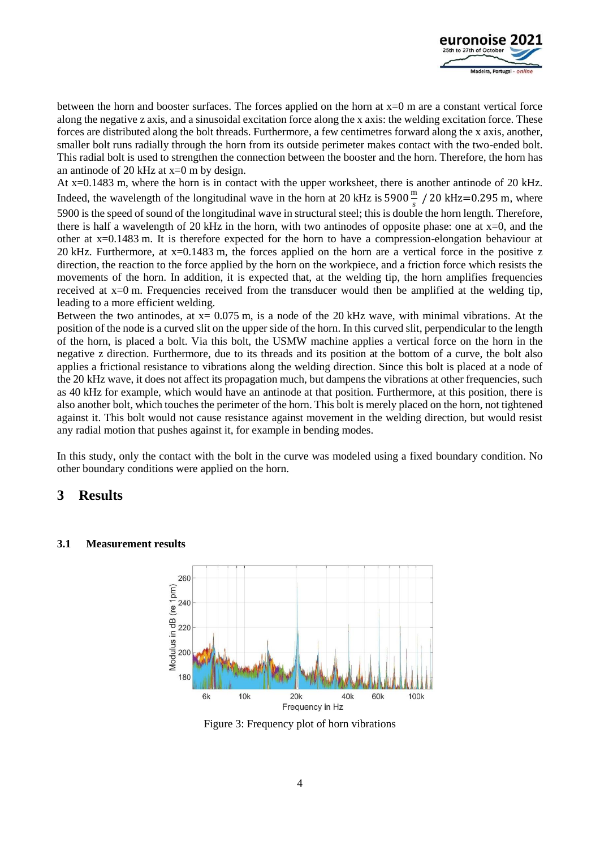

between the horn and booster surfaces. The forces applied on the horn at  $x=0$  m are a constant vertical force along the negative z axis, and a sinusoidal excitation force along the x axis: the welding excitation force. These forces are distributed along the bolt threads. Furthermore, a few centimetres forward along the x axis, another, smaller bolt runs radially through the horn from its outside perimeter makes contact with the two-ended bolt. This radial bolt is used to strengthen the connection between the booster and the horn. Therefore, the horn has an antinode of 20 kHz at  $x=0$  m by design.

At x=0.1483 m, where the horn is in contact with the upper worksheet, there is another antinode of 20 kHz. Indeed, the wavelength of the longitudinal wave in the horn at 20 kHz is 5900 $\frac{m}{s}$  / 20 kHz=0.295 m, where 5900 is the speed of sound of the longitudinal wave in structural steel; this is double the horn length. Therefore, there is half a wavelength of 20 kHz in the horn, with two antinodes of opposite phase: one at  $x=0$ , and the other at x=0.1483 m. It is therefore expected for the horn to have a compression-elongation behaviour at 20 kHz. Furthermore, at x=0.1483 m, the forces applied on the horn are a vertical force in the positive z direction, the reaction to the force applied by the horn on the workpiece, and a friction force which resists the movements of the horn. In addition, it is expected that, at the welding tip, the horn amplifies frequencies received at x=0 m. Frequencies received from the transducer would then be amplified at the welding tip, leading to a more efficient welding.

Between the two antinodes, at  $x = 0.075$  m, is a node of the 20 kHz wave, with minimal vibrations. At the position of the node is a curved slit on the upper side of the horn. In this curved slit, perpendicular to the length of the horn, is placed a bolt. Via this bolt, the USMW machine applies a vertical force on the horn in the negative z direction. Furthermore, due to its threads and its position at the bottom of a curve, the bolt also applies a frictional resistance to vibrations along the welding direction. Since this bolt is placed at a node of the 20 kHz wave, it does not affect its propagation much, but dampens the vibrations at other frequencies, such as 40 kHz for example, which would have an antinode at that position. Furthermore, at this position, there is also another bolt, which touches the perimeter of the horn. This bolt is merely placed on the horn, not tightened against it. This bolt would not cause resistance against movement in the welding direction, but would resist any radial motion that pushes against it, for example in bending modes.

In this study, only the contact with the bolt in the curve was modeled using a fixed boundary condition. No other boundary conditions were applied on the horn.

# **3 Results**

#### **3.1 Measurement results**



<span id="page-3-0"></span>Figure 3: Frequency plot of horn vibrations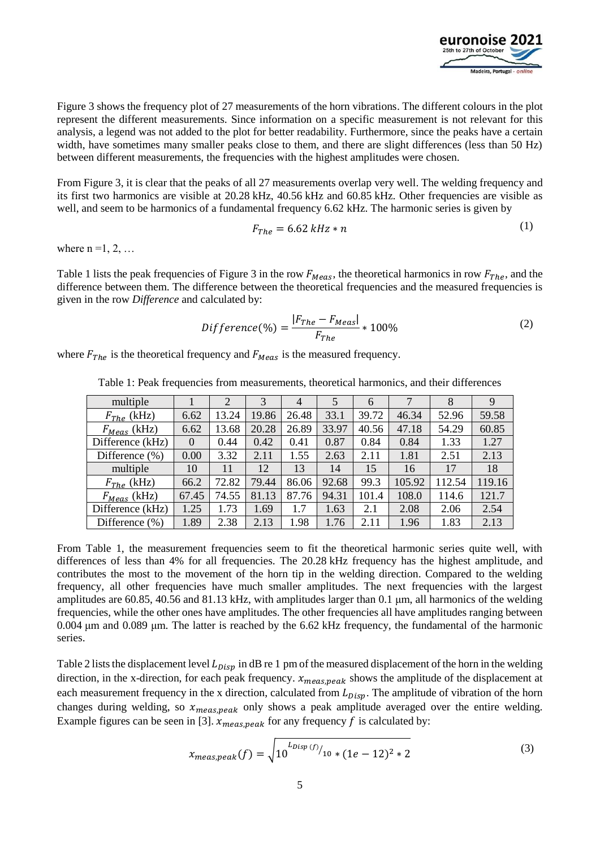

[Figure 3](#page-3-0) shows the frequency plot of 27 measurements of the horn vibrations. The different colours in the plot represent the different measurements. Since information on a specific measurement is not relevant for this analysis, a legend was not added to the plot for better readability. Furthermore, since the peaks have a certain width, have sometimes many smaller peaks close to them, and there are slight differences (less than 50 Hz) between different measurements, the frequencies with the highest amplitudes were chosen.

From [Figure 3,](#page-3-0) it is clear that the peaks of all 27 measurements overlap very well. The welding frequency and its first two harmonics are visible at 20.28 kHz, 40.56 kHz and 60.85 kHz. Other frequencies are visible as well, and seem to be harmonics of a fundamental frequency 6.62 kHz. The harmonic series is given by

$$
F_{The} = 6.62 \; kHz * n \tag{1}
$$

where  $n = 1, 2, \ldots$ 

[Table 1](#page-4-0) lists the peak frequencies of [Figure 3](#page-3-0) in the row  $F_{Meas}$ , the theoretical harmonics in row  $F_{The}$ , and the difference between them. The difference between the theoretical frequencies and the measured frequencies is given in the row *Difference* and calculated by:

$$
Difference(\%) = \frac{|F_{The} - F_{Meas}|}{F_{The}} * 100\%
$$
\n(2)

<span id="page-4-0"></span>where  $F_{The}$  is the theoretical frequency and  $F_{Meas}$  is the measured frequency.

| multiple           |          | 2     |       | 4     | 5     | 6     |        | 8      | 9      |
|--------------------|----------|-------|-------|-------|-------|-------|--------|--------|--------|
| $F_{The}$ (kHz)    | 6.62     | 13.24 | 19.86 | 26.48 | 33.1  | 39.72 | 46.34  | 52.96  | 59.58  |
| $F_{Meas}$ (kHz)   | 6.62     | 13.68 | 20.28 | 26.89 | 33.97 | 40.56 | 47.18  | 54.29  | 60.85  |
| Difference (kHz)   | $\theta$ | 0.44  | 0.42  | 0.41  | 0.87  | 0.84  | 0.84   | 1.33   | 1.27   |
| Difference $(\% )$ | 0.00     | 3.32  | 2.11  | 1.55  | 2.63  | 2.11  | 1.81   | 2.51   | 2.13   |
| multiple           | 10       | 11    | 12    | 13    | 14    | 15    | 16     | 17     | 18     |
| $F_{The}$ (kHz)    | 66.2     | 72.82 | 79.44 | 86.06 | 92.68 | 99.3  | 105.92 | 112.54 | 119.16 |
| $F_{Meas}$ (kHz)   | 67.45    | 74.55 | 81.13 | 87.76 | 94.31 | 101.4 | 108.0  | 114.6  | 121.7  |
| Difference (kHz)   | 1.25     | .73   | 1.69  | 1.7   | 1.63  | 2.1   | 2.08   | 2.06   | 2.54   |
| Difference $(\% )$ | 1.89     | 2.38  | 2.13  | 1.98  | 1.76  | 2.11  | 1.96   | 1.83   | 2.13   |

Table 1: Peak frequencies from measurements, theoretical harmonics, and their differences

From [Table 1,](#page-4-0) the measurement frequencies seem to fit the theoretical harmonic series quite well, with differences of less than 4% for all frequencies. The 20.28 kHz frequency has the highest amplitude, and contributes the most to the movement of the horn tip in the welding direction. Compared to the welding frequency, all other frequencies have much smaller amplitudes. The next frequencies with the largest amplitudes are 60.85, 40.56 and 81.13 kHz, with amplitudes larger than 0.1 μm, all harmonics of the welding frequencies, while the other ones have amplitudes. The other frequencies all have amplitudes ranging between 0.004 μm and 0.089 μm. The latter is reached by the 6.62 kHz frequency, the fundamental of the harmonic series.

[Table 2](#page-5-0) lists the displacement level  $L_{Disp}$  in dB re 1 pm of the measured displacement of the horn in the welding direction, in the x-direction, for each peak frequency.  $x_{meas,peak}$  shows the amplitude of the displacement at each measurement frequency in the x direction, calculated from  $L_{Disp}$ . The amplitude of vibration of the horn changes during welding, so  $x_{meas,peak}$  only shows a peak amplitude averaged over the entire welding. Example figures can be seen in [\[3\].](#page-9-2)  $x_{meas,peak}$  for any frequency f is calculated by:

$$
x_{meas,peak}(f) = \sqrt{10^{L_{Disp}(f)}/10 * (1e - 12)^2 * 2}
$$
 (3)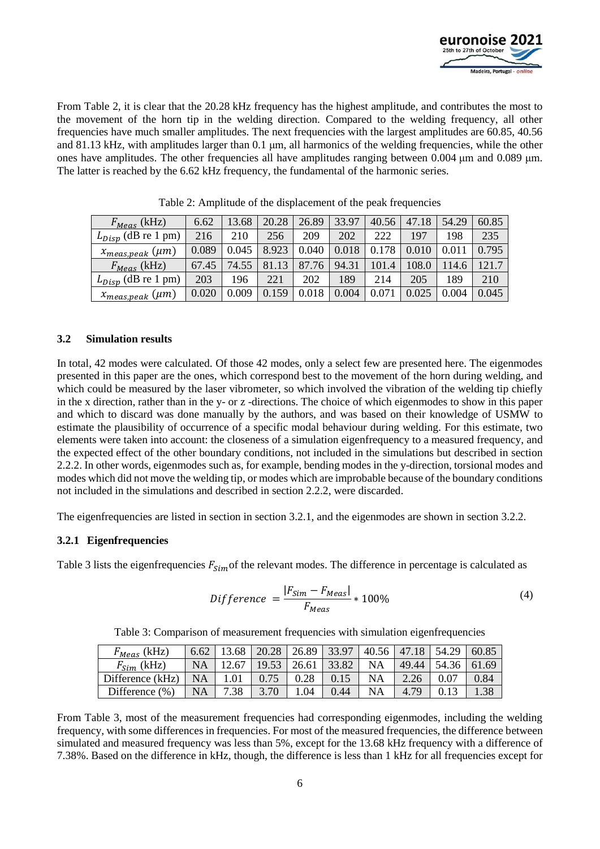

From [Table 2,](#page-5-0) it is clear that the 20.28 kHz frequency has the highest amplitude, and contributes the most to the movement of the horn tip in the welding direction. Compared to the welding frequency, all other frequencies have much smaller amplitudes. The next frequencies with the largest amplitudes are 60.85, 40.56 and 81.13 kHz, with amplitudes larger than 0.1 μm, all harmonics of the welding frequencies, while the other ones have amplitudes. The other frequencies all have amplitudes ranging between 0.004 μm and 0.089 μm. The latter is reached by the 6.62 kHz frequency, the fundamental of the harmonic series.

<span id="page-5-0"></span>

| $F_{Meas}$ (kHz)           | 6.62  | 13.68 | 20.28 | 26.89 | 33.97 | 40.56         | 47.18 | 54.29 | 60.85 |
|----------------------------|-------|-------|-------|-------|-------|---------------|-------|-------|-------|
| $L_{Disp}$ (dB re 1 pm)    | 216   | 210   | 256   | 209   | 202   | 222           | 197   | 198   | 235   |
| $x_{meas,peak}$ ( $\mu$ m) | 0.089 | 0.045 | 8.923 | 0.040 | 0.018 | 0.178         |       |       | 0.795 |
| $F_{Meas}$ (kHz)           | 67.45 | 74.55 | 81.13 | 87.76 | 94.31 | 101.4         | 108.0 | 114.6 | 121.7 |
| $L_{Disp}$ (dB re 1 pm)    | 203   | 196   | 221   | 202   | 189   | 214           | 205   | 189   | 210   |
| $x_{meas,peak}$ ( $\mu$ m) | 0.020 | 0.009 | 0.159 | 0.018 | 0.004 | $0.07\degree$ | 0.025 | 0.004 | 0.045 |

Table 2: Amplitude of the displacement of the peak frequencies

### **3.2 Simulation results**

In total, 42 modes were calculated. Of those 42 modes, only a select few are presented here. The eigenmodes presented in this paper are the ones, which correspond best to the movement of the horn during welding, and which could be measured by the laser vibrometer, so which involved the vibration of the welding tip chiefly in the x direction, rather than in the y- or z -directions. The choice of which eigenmodes to show in this paper and which to discard was done manually by the authors, and was based on their knowledge of USMW to estimate the plausibility of occurrence of a specific modal behaviour during welding. For this estimate, two elements were taken into account: the closeness of a simulation eigenfrequency to a measured frequency, and the expected effect of the other boundary conditions, not included in the simulations but described in section [2.2.2.](#page-2-1) In other words, eigenmodes such as, for example, bending modes in the y-direction, torsional modes and modes which did not move the welding tip, or modes which are improbable because of the boundary conditions not included in the simulations and described in section [2.2.2,](#page-2-1) were discarded.

The eigenfrequencies are listed in section in section [3.2.1,](#page-5-1) and the eigenmodes are shown in section [3.2.2.](#page-6-0)

### <span id="page-5-1"></span>**3.2.1 Eigenfrequencies**

[Table 3](#page-5-2) lists the eigenfrequencies  $F_{Sim}$  of the relevant modes. The difference in percentage is calculated as

$$
Difference = \frac{|F_{Sim} - F_{Meas}|}{F_{Meas}} * 100\%
$$
\n(4)

<span id="page-5-2"></span>

| $F_{Meas}$ (kHz)   | 6.62      | 13.68 | 20.28 | 26.89 | 33.97 | 40.56     | 47.18 | 54.29      | 60.85 |
|--------------------|-----------|-------|-------|-------|-------|-----------|-------|------------|-------|
| $F_{Sim}$ (kHz)    | NA        | 12.67 | 19.53 | 26.61 | 33.82 | <b>NA</b> | 49.44 | 54.36      | 61.69 |
| Difference (kHz)   | <b>NA</b> |       | 0.75  | 0.28  | 0.15  | <b>NA</b> | 2.26  | $\rm 0.07$ | 0.84  |
| Difference $(\% )$ | <b>NA</b> | 7.38  | 3.70  | .04   | 0.44  | <b>NA</b> | 4.79  |            | .38   |

Table 3: Comparison of measurement frequencies with simulation eigenfrequencies

From [Table 3,](#page-5-2) most of the measurement frequencies had corresponding eigenmodes, including the welding frequency, with some differences in frequencies. For most of the measured frequencies, the difference between simulated and measured frequency was less than 5%, except for the 13.68 kHz frequency with a difference of 7.38%. Based on the difference in kHz, though, the difference is less than 1 kHz for all frequencies except for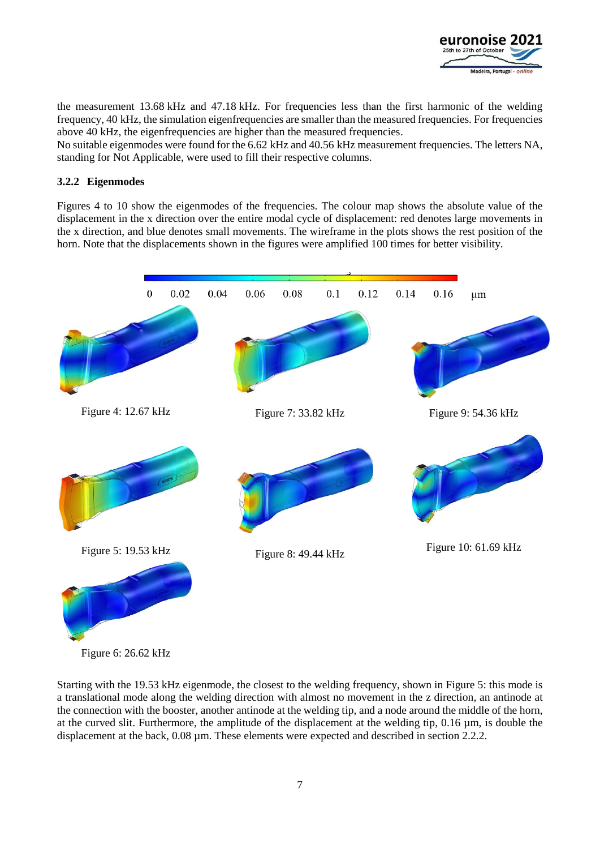

the measurement 13.68 kHz and 47.18 kHz. For frequencies less than the first harmonic of the welding frequency, 40 kHz, the simulation eigenfrequencies are smaller than the measured frequencies. For frequencies above 40 kHz, the eigenfrequencies are higher than the measured frequencies.

No suitable eigenmodes were found for the 6.62 kHz and 40.56 kHz measurement frequencies. The letters NA, standing for Not Applicable, were used to fill their respective columns.

### <span id="page-6-0"></span>**3.2.2 Eigenmodes**

Figures 4 to 10 show the eigenmodes of the frequencies. The colour map shows the absolute value of the displacement in the x direction over the entire modal cycle of displacement: red denotes large movements in the x direction, and blue denotes small movements. The wireframe in the plots shows the rest position of the horn. Note that the displacements shown in the figures were amplified 100 times for better visibility.



<span id="page-6-1"></span>Figure 6: 26.62 kHz

Starting with the 19.53 kHz eigenmode, the closest to the welding frequency, shown in [Figure 5:](#page-6-1) this mode is a translational mode along the welding direction with almost no movement in the z direction, an antinode at the connection with the booster, another antinode at the welding tip, and a node around the middle of the horn, at the curved slit. Furthermore, the amplitude of the displacement at the welding tip, 0.16 µm, is double the displacement at the back, 0.08 µm. These elements were expected and described in section [2.2.2.](#page-2-1)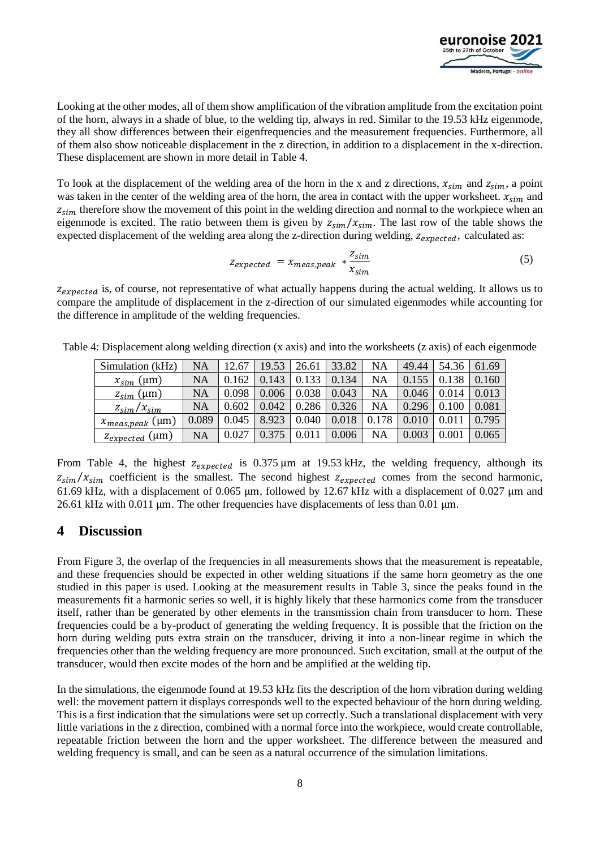

Looking at the other modes, all of them show amplification of the vibration amplitude from the excitation point of the horn, always in a shade of blue, to the welding tip, always in red. Similar to the 19.53 kHz eigenmode, they all show differences between their eigenfrequencies and the measurement frequencies. Furthermore, all of them also show noticeable displacement in the z direction, in addition to a displacement in the x-direction. These displacement are shown in more detail in [Table 4.](#page-7-0)

To look at the displacement of the welding area of the horn in the x and z directions,  $x_{sim}$  and  $z_{sim}$ , a point was taken in the center of the welding area of the horn, the area in contact with the upper worksheet.  $x_{sim}$  and  $z_{sim}$  therefore show the movement of this point in the welding direction and normal to the workpiece when an eigenmode is excited. The ratio between them is given by  $z_{\text{sim}}/x_{\text{sim}}$ . The last row of the table shows the expected displacement of the welding area along the z-direction during welding,  $z_{expected}$ , calculated as:

$$
Z_{expected} = \chi_{meas,peak} * \frac{Z_{sim}}{\chi_{sim}} \tag{5}
$$

 $z_{expected}$  is, of course, not representative of what actually happens during the actual welding. It allows us to compare the amplitude of displacement in the z-direction of our simulated eigenmodes while accounting for the difference in amplitude of the welding frequencies.

| Simulation (kHz)               | NA        | 12.67 | 19.53 | 26.61 | 33.82 | NA    | 49.44 | 54.36    | 61.69 |
|--------------------------------|-----------|-------|-------|-------|-------|-------|-------|----------|-------|
| $x_{\text{sim}}$ (µm)          | NA        | 0.162 | 0.143 | 0.133 | 0.134 | NA    | 0.155 |          | 0.160 |
| $\frac{Z_{Sim}}{Z_{Sim}}$ (µm) | NA        | 0.098 | 0.006 | 0.038 | 0.043 | NA    | 0.046 | 0.014    | 0.013 |
| $z_{\rm sim}/x_{\rm sim}$      | NA        | 0.602 | 0.042 | 0.286 | 0.326 | NA    | 0.296 | 0.100    | 0.081 |
| $x_{meas,peak}$ (µm)           | 0.089     | 0.045 | 8.923 | 0.040 | 0.018 | 0.178 | 0.010 |          | 0.795 |
| Z <sub>expected</sub> (µm)     | <b>NA</b> | 0.027 | 0.375 |       | 0.006 | NA    | 0.003 | $0.00\,$ | 0.065 |

<span id="page-7-0"></span>Table 4: Displacement along welding direction (x axis) and into the worksheets (z axis) of each eigenmode

From [Table 4,](#page-7-0) the highest  $z_{expected}$  is 0.375  $\mu$ m at 19.53 kHz, the welding frequency, although its  $z_{\text{sim}}/x_{\text{sim}}$  coefficient is the smallest. The second highest  $z_{\text{expected}}$  comes from the second harmonic, 61.69 kHz, with a displacement of 0.065 μm, followed by 12.67 kHz with a displacement of 0.027 μm and 26.61 kHz with 0.011 μm. The other frequencies have displacements of less than 0.01 μm.

# **4 Discussion**

From [Figure 3,](#page-3-0) the overlap of the frequencies in all measurements shows that the measurement is repeatable, and these frequencies should be expected in other welding situations if the same horn geometry as the one studied in this paper is used. Looking at the measurement results in [Table 3,](#page-5-2) since the peaks found in the measurements fit a harmonic series so well, it is highly likely that these harmonics come from the transducer itself, rather than be generated by other elements in the transmission chain from transducer to horn. These frequencies could be a by-product of generating the welding frequency. It is possible that the friction on the horn during welding puts extra strain on the transducer, driving it into a non-linear regime in which the frequencies other than the welding frequency are more pronounced. Such excitation, small at the output of the transducer, would then excite modes of the horn and be amplified at the welding tip.

In the simulations, the eigenmode found at 19.53 kHz fits the description of the horn vibration during welding well: the movement pattern it displays corresponds well to the expected behaviour of the horn during welding. This is a first indication that the simulations were set up correctly. Such a translational displacement with very little variations in the z direction, combined with a normal force into the workpiece, would create controllable, repeatable friction between the horn and the upper worksheet. The difference between the measured and welding frequency is small, and can be seen as a natural occurrence of the simulation limitations.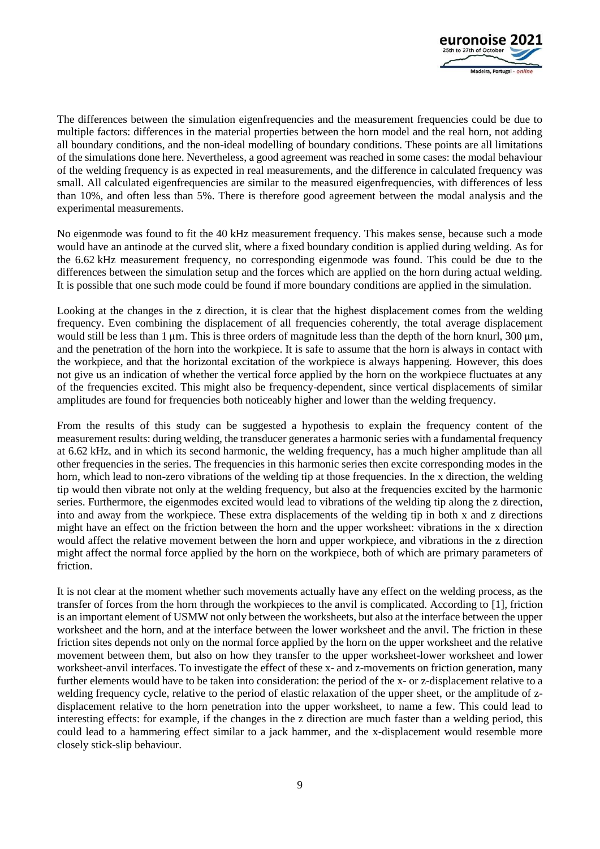

The differences between the simulation eigenfrequencies and the measurement frequencies could be due to multiple factors: differences in the material properties between the horn model and the real horn, not adding all boundary conditions, and the non-ideal modelling of boundary conditions. These points are all limitations of the simulations done here. Nevertheless, a good agreement was reached in some cases: the modal behaviour of the welding frequency is as expected in real measurements, and the difference in calculated frequency was small. All calculated eigenfrequencies are similar to the measured eigenfrequencies, with differences of less than 10%, and often less than 5%. There is therefore good agreement between the modal analysis and the experimental measurements.

No eigenmode was found to fit the 40 kHz measurement frequency. This makes sense, because such a mode would have an antinode at the curved slit, where a fixed boundary condition is applied during welding. As for the 6.62 kHz measurement frequency, no corresponding eigenmode was found. This could be due to the differences between the simulation setup and the forces which are applied on the horn during actual welding. It is possible that one such mode could be found if more boundary conditions are applied in the simulation.

Looking at the changes in the z direction, it is clear that the highest displacement comes from the welding frequency. Even combining the displacement of all frequencies coherently, the total average displacement would still be less than 1  $\mu$ m. This is three orders of magnitude less than the depth of the horn knurl, 300  $\mu$ m, and the penetration of the horn into the workpiece. It is safe to assume that the horn is always in contact with the workpiece, and that the horizontal excitation of the workpiece is always happening. However, this does not give us an indication of whether the vertical force applied by the horn on the workpiece fluctuates at any of the frequencies excited. This might also be frequency-dependent, since vertical displacements of similar amplitudes are found for frequencies both noticeably higher and lower than the welding frequency.

From the results of this study can be suggested a hypothesis to explain the frequency content of the measurement results: during welding, the transducer generates a harmonic series with a fundamental frequency at 6.62 kHz, and in which its second harmonic, the welding frequency, has a much higher amplitude than all other frequencies in the series. The frequencies in this harmonic series then excite corresponding modes in the horn, which lead to non-zero vibrations of the welding tip at those frequencies. In the x direction, the welding tip would then vibrate not only at the welding frequency, but also at the frequencies excited by the harmonic series. Furthermore, the eigenmodes excited would lead to vibrations of the welding tip along the z direction, into and away from the workpiece. These extra displacements of the welding tip in both x and z directions might have an effect on the friction between the horn and the upper worksheet: vibrations in the x direction would affect the relative movement between the horn and upper workpiece, and vibrations in the z direction might affect the normal force applied by the horn on the workpiece, both of which are primary parameters of friction.

It is not clear at the moment whether such movements actually have any effect on the welding process, as the transfer of forces from the horn through the workpieces to the anvil is complicated. According to [\[1\],](#page-9-0) friction is an important element of USMW not only between the worksheets, but also at the interface between the upper worksheet and the horn, and at the interface between the lower worksheet and the anvil. The friction in these friction sites depends not only on the normal force applied by the horn on the upper worksheet and the relative movement between them, but also on how they transfer to the upper worksheet-lower worksheet and lower worksheet-anvil interfaces. To investigate the effect of these x- and z-movements on friction generation, many further elements would have to be taken into consideration: the period of the x- or z-displacement relative to a welding frequency cycle, relative to the period of elastic relaxation of the upper sheet, or the amplitude of zdisplacement relative to the horn penetration into the upper worksheet, to name a few. This could lead to interesting effects: for example, if the changes in the z direction are much faster than a welding period, this could lead to a hammering effect similar to a jack hammer, and the x-displacement would resemble more closely stick-slip behaviour.